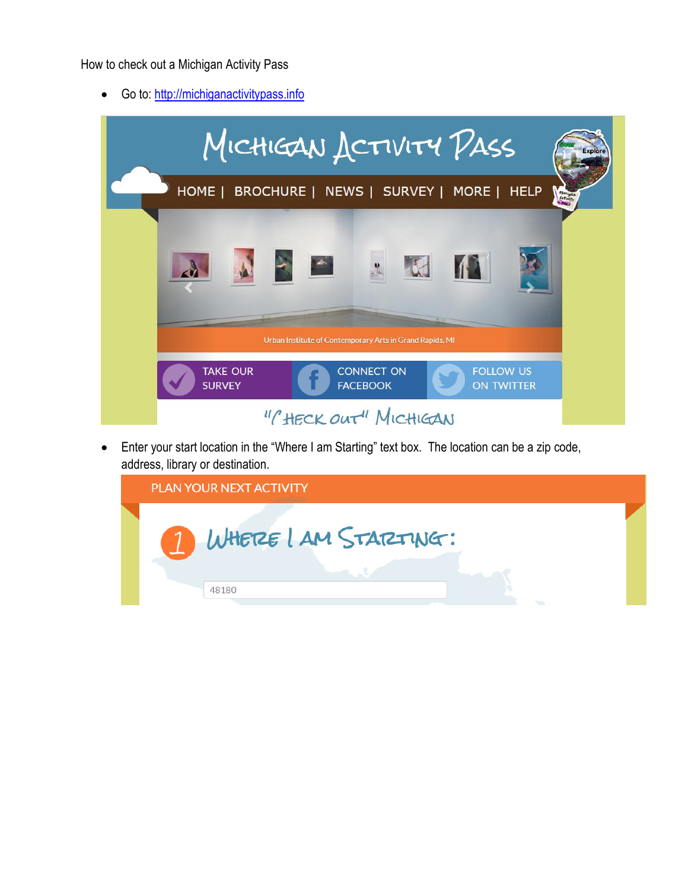How to check out a Michigan Activity Pass

• Go to: [http://michiganactivitypass.info](http://michiganactivitypass.info/)

| MICHIGAN ACTIVITY PASS<br>Explòr                                                                                     |  |
|----------------------------------------------------------------------------------------------------------------------|--|
| HOME   BROCHURE   NEWS   SURVEY   MORE   HELP<br>Michigan                                                            |  |
|                                                                                                                      |  |
| Urban Institute of Contemporary Arts in Grand Rapids, MI<br><b>CONNECT ON</b><br><b>FOLLOW US</b><br><b>TAKE OUR</b> |  |
| <b>SURVEY</b><br><b>FACEBOOK</b><br><b>ON TWITTER</b><br>"CHECK OUT" MICHIGAN                                        |  |

 Enter your start location in the "Where I am Starting" text box. The location can be a zip code, address, library or destination.

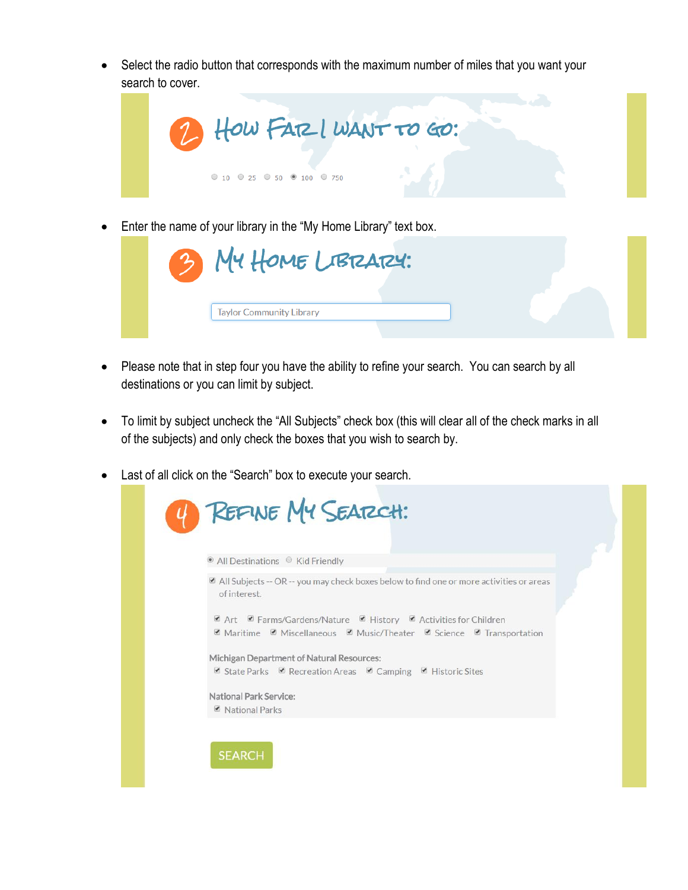Select the radio button that corresponds with the maximum number of miles that you want your search to cover.



Enter the name of your library in the "My Home Library" text box.



- Please note that in step four you have the ability to refine your search. You can search by all destinations or you can limit by subject.
- To limit by subject uncheck the "All Subjects" check box (this will clear all of the check marks in all of the subjects) and only check the boxes that you wish to search by.
- Last of all click on the "Search" box to execute your search.

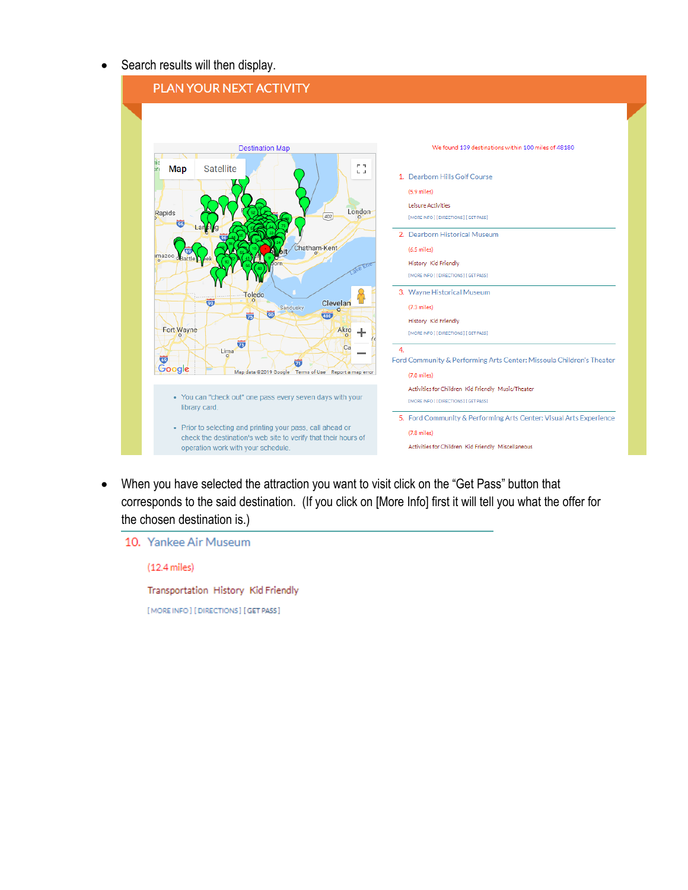• Search results will then display.



 When you have selected the attraction you want to visit click on the "Get Pass" button that corresponds to the said destination. (If you click on [More Info] first it will tell you what the offer for the chosen destination is.)

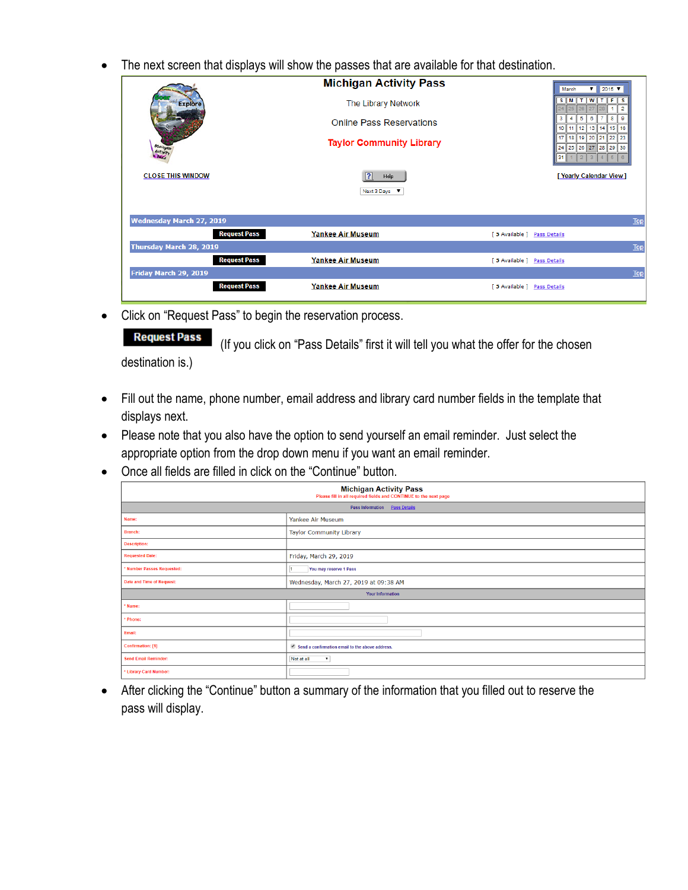The next screen that displays will show the passes that are available for that destination.

|                                 | <b>Michigan Activity Pass</b>   | $\sqrt{2015}$<br>March                                               |
|---------------------------------|---------------------------------|----------------------------------------------------------------------|
| <b>Explore</b>                  | The Library Network             | ∏м<br>WITF<br>т<br>-S<br>s<br>$\overline{2}$<br>25                   |
|                                 | <b>Online Pass Reservations</b> | 3<br>8<br>9<br>5<br>6<br>$13$   14   15  <br>10<br>16<br>11<br>12    |
| Michigan                        | <b>Taylor Community Library</b> | 21  22  <br>20<br>23<br>17<br>18<br>19<br>24 25 26 27 28 29 30<br>31 |
| <b>CLOSE THIS WINDOW</b>        | ? <br>Help                      | [ Yearly Calendar View ]                                             |
|                                 | Next 3 Days V                   |                                                                      |
|                                 |                                 |                                                                      |
| <b>Wednesday March 27, 2019</b> |                                 | <b>Top</b>                                                           |
| <b>Request Pass</b>             | <b>Yankee Air Museum</b>        | [5 Available ] Pass Details                                          |
| Thursday March 28, 2019         |                                 | <b>Top</b>                                                           |
| <b>Request Pass</b>             | <b>Yankee Air Museum</b>        | [5 Available ] Pass Details                                          |
| Friday March 29, 2019           |                                 | <b>Top</b>                                                           |
| <b>Request Pass</b>             | Yankee Air Museum               | [5 Available ] Pass Details                                          |

• Click on "Request Pass" to begin the reservation process.

**Request Pass** (If you click on "Pass Details" first it will tell you what the offer for the chosen destination is.)

- Fill out the name, phone number, email address and library card number fields in the template that displays next.
- Please note that you also have the option to send yourself an email reminder. Just select the appropriate option from the drop down menu if you want an email reminder.
- Once all fields are filled in click on the "Continue" button.

| Michigan Activity Pass<br>Please fill in all required fields and CONTINUE to the next page |                                                 |  |
|--------------------------------------------------------------------------------------------|-------------------------------------------------|--|
| Pass Information  Pass Details                                                             |                                                 |  |
| Name:                                                                                      | Yankee Air Museum                               |  |
| Branch:                                                                                    | <b>Taylor Community Library</b>                 |  |
| <b>Description:</b>                                                                        |                                                 |  |
| <b>Requested Date:</b>                                                                     | Friday, March 29, 2019                          |  |
| * Number Passes Requested:                                                                 | You may reserve 1 Pass                          |  |
| Date and Time of Request:                                                                  | Wednesday, March 27, 2019 at 09:38 AM           |  |
| <b>Your Information</b>                                                                    |                                                 |  |
| * Name:                                                                                    |                                                 |  |
| * Phone:                                                                                   |                                                 |  |
| Email:                                                                                     |                                                 |  |
| Confirmation: [1]                                                                          | Send a confirmation email to the above address. |  |
| <b>Send Email Reminder:</b>                                                                | Not at all<br>$\pmb{\mathrm{v}}$                |  |
| * Library Card Number:                                                                     |                                                 |  |

 After clicking the "Continue" button a summary of the information that you filled out to reserve the pass will display.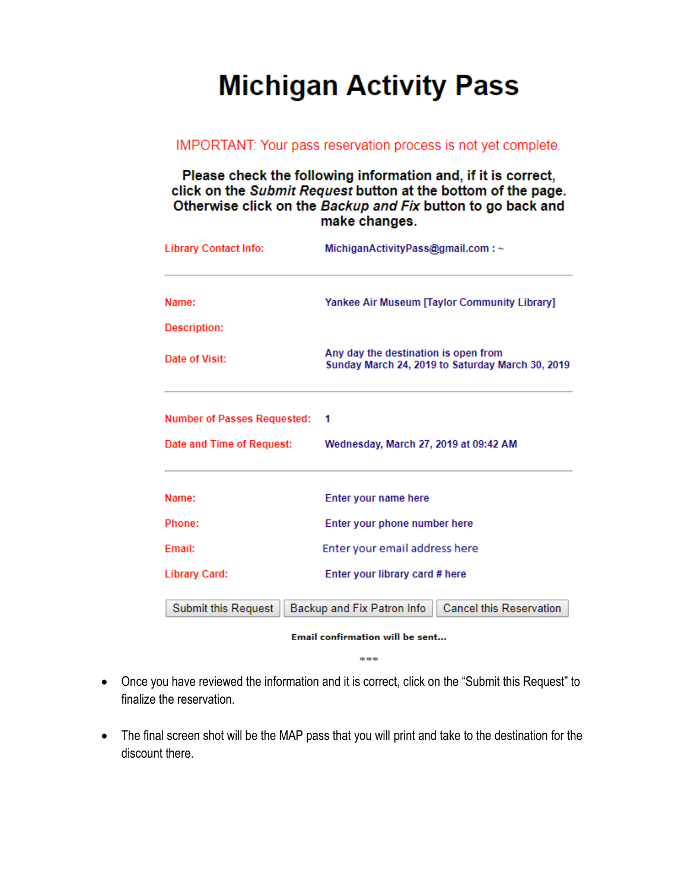# **Michigan Activity Pass**

#### IMPORTANT: Your pass reservation process is not yet complete.

#### Please check the following information and, if it is correct, click on the Submit Request button at the bottom of the page. Otherwise click on the Backup and Fix button to go back and make changes.

| <b>Library Contact Info:</b>       | MichiganActivityPass@gmail.com:~                                                         |
|------------------------------------|------------------------------------------------------------------------------------------|
| Name:                              | <b>Yankee Air Museum [Taylor Community Library]</b>                                      |
| Description:                       |                                                                                          |
| Date of Visit:                     | Any day the destination is open from<br>Sunday March 24, 2019 to Saturday March 30, 2019 |
| <b>Number of Passes Requested:</b> | 1                                                                                        |
| Date and Time of Request:          | Wednesday, March 27, 2019 at 09:42 AM                                                    |
| Name:                              | Enter your name here                                                                     |
| Phone:                             | Enter your phone number here                                                             |
| Email:                             | Enter your email address here                                                            |
| <b>Library Card:</b>               | Enter your library card # here                                                           |
| <b>Submit this Request</b>         | <b>Cancel this Reservation</b><br>Backup and Fix Patron Info                             |
|                                    | Email confirmation will be sent                                                          |

\*\*\*

- Once you have reviewed the information and it is correct, click on the "Submit this Request" to finalize the reservation.
- The final screen shot will be the MAP pass that you will print and take to the destination for the discount there.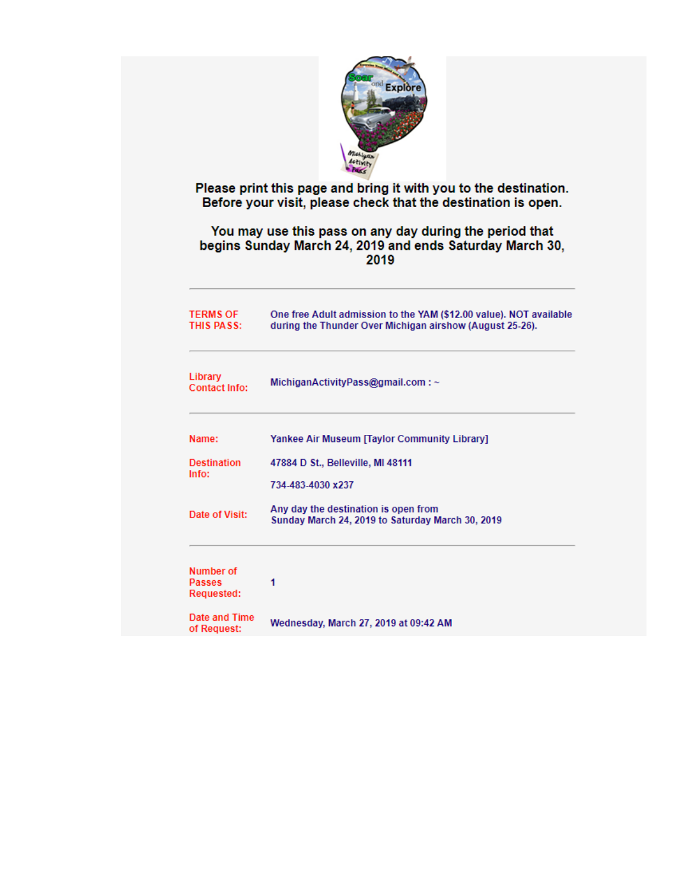

# Please print this page and bring it with you to the destination.<br>Before your visit, please check that the destination is open.

### You may use this pass on any day during the period that<br>begins Sunday March 24, 2019 and ends Saturday March 30, 2019

| <b>TERMS OF</b><br>THIS PASS:                   | One free Adult admission to the YAM (\$12.00 value). NOT available<br>during the Thunder Over Michigan airshow (August 25-26). |
|-------------------------------------------------|--------------------------------------------------------------------------------------------------------------------------------|
| Library<br>Contact Info:                        | MichiganActivityPass@gmail.com:~                                                                                               |
| Name:                                           | <b>Yankee Air Museum [Taylor Community Library]</b>                                                                            |
| <b>Destination</b><br>Info:                     | 47884 D St., Belleville, MI 48111                                                                                              |
|                                                 | 734-483-4030 x237                                                                                                              |
| Date of Visit:                                  | Any day the destination is open from<br>Sunday March 24, 2019 to Saturday March 30, 2019                                       |
| Number of<br><b>Passes</b><br><b>Requested:</b> | 1                                                                                                                              |
| Date and Time<br>of Request:                    | Wednesday, March 27, 2019 at 09:42 AM                                                                                          |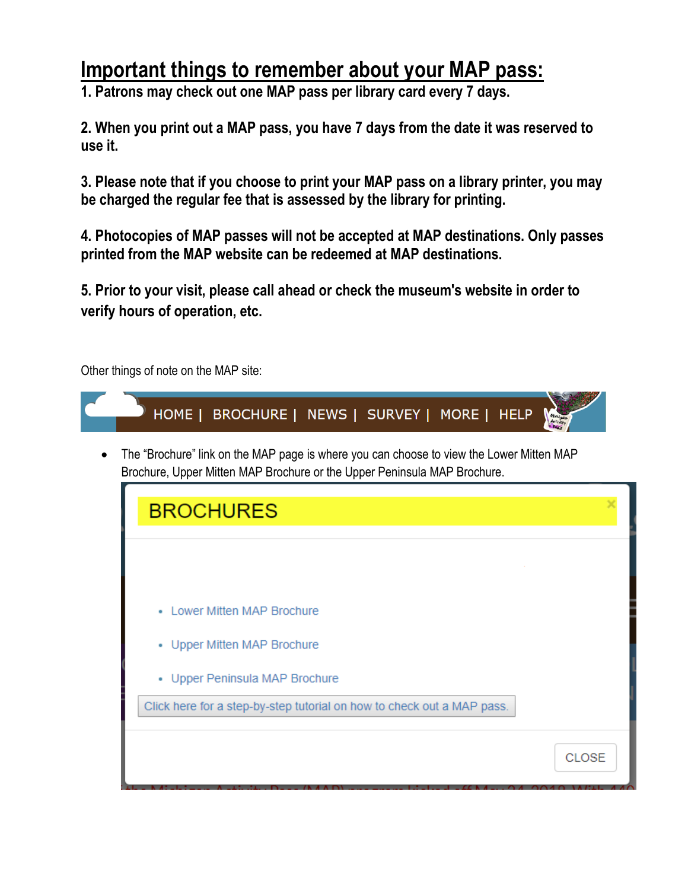### **Important things to remember about your MAP pass:**

**1. Patrons may check out one MAP pass per library card every 7 days.**

**2. When you print out a MAP pass, you have 7 days from the date it was reserved to use it.** 

**3. Please note that if you choose to print your MAP pass on a library printer, you may be charged the regular fee that is assessed by the library for printing.** 

**4. Photocopies of MAP passes will not be accepted at MAP destinations. Only passes printed from the MAP website can be redeemed at MAP destinations.**

**5. Prior to your visit, please call ahead or check the museum's website in order to verify hours of operation, etc.** 

Other things of note on the MAP site: